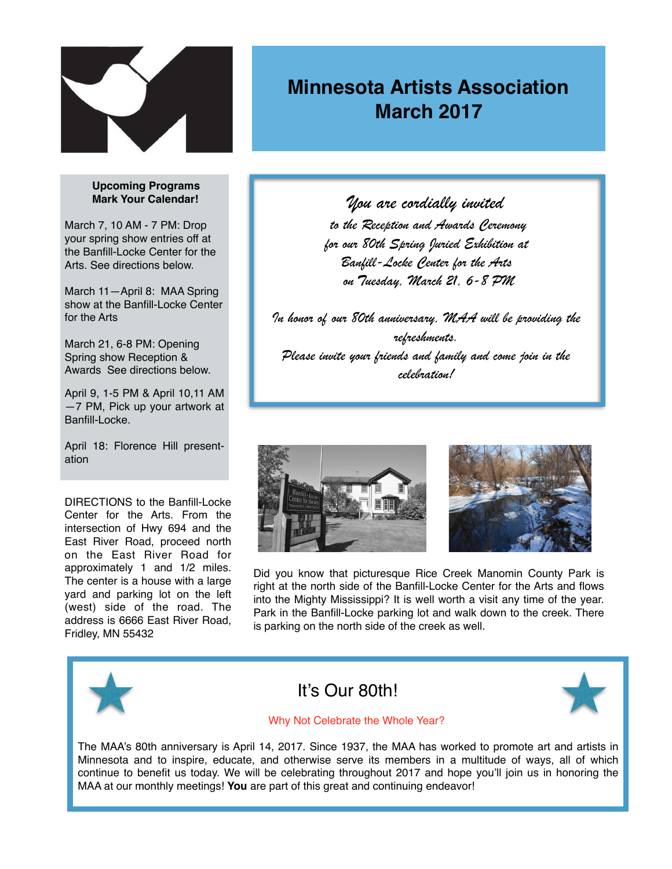

# **Minnesota Artists Association March 2017**

#### **Upcoming Programs Mark Your Calendar!**

March 7, 10 AM - 7 PM: Drop your spring show entries off at the Banfill-Locke Center for the Arts. See directions below.

March 11—April 8: MAA Spring show at the Banfill-Locke Center for the Arts

March 21, 6-8 PM: Opening Spring show Reception & Awards See directions below.

April 9, 1-5 PM & April 10,11 AM —7 PM, Pick up your artwork at Banfill-Locke.

April 18: Florence Hill presentation

DIRECTIONS to the Banfill-Locke Center for the Arts. From the intersection of Hwy 694 and the East River Road, proceed north on the East River Road for approximately 1 and 1/2 miles. The center is a house with a large yard and parking lot on the left (west) side of the road. The address is 6666 East River Road, Fridley, MN 55432

*You are cordially invited to the Reception and Awards Ceremony for our 80th Spring Juried Exhibition at Banfill-Locke Center for the Arts on Tuesday, March 21, 6-8 PM*

*In honor of our 80th anniversary, MAA will be providing the refreshments. Please invite your friends and family and come join in the celebration!*





Did you know that picturesque Rice Creek Manomin County Park is right at the north side of the Banfill-Locke Center for the Arts and flows into the Mighty Mississippi? It is well worth a visit any time of the year. Park in the Banfill-Locke parking lot and walk down to the creek. There is parking on the north side of the creek as well.



## It's Our 80th!



#### Why Not Celebrate the Whole Year?

The MAA's 80th anniversary is April 14, 2017. Since 1937, the MAA has worked to promote art and artists in Minnesota and to inspire, educate, and otherwise serve its members in a multitude of ways, all of which continue to benefit us today. We will be celebrating throughout 2017 and hope you'll join us in honoring the MAA at our monthly meetings! **You** are part of this great and continuing endeavor!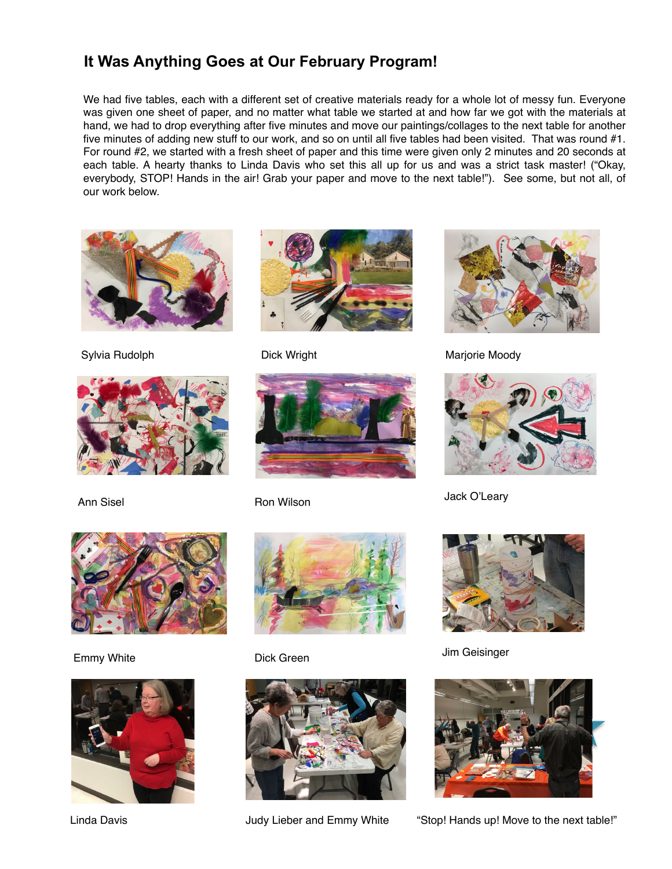### **It Was Anything Goes at Our February Program!**

We had five tables, each with a different set of creative materials ready for a whole lot of messy fun. Everyone was given one sheet of paper, and no matter what table we started at and how far we got with the materials at hand, we had to drop everything after five minutes and move our paintings/collages to the next table for another five minutes of adding new stuff to our work, and so on until all five tables had been visited. That was round #1. For round #2, we started with a fresh sheet of paper and this time were given only 2 minutes and 20 seconds at each table. A hearty thanks to Linda Davis who set this all up for us and was a strict task master! ("Okay, everybody, STOP! Hands in the air! Grab your paper and move to the next table!"). See some, but not all, of our work below.



Sylvia Rudolph

















Dick Wright Marjorie Moody



Ann Sisel **Ron Wilson** George Channel Back O'Leary



Emmy White Dick Green Jim Geisinger



Linda Davis **Interpret Audio Audio Judy Lieber and Emmy White** "Stop! Hands up! Move to the next table!"